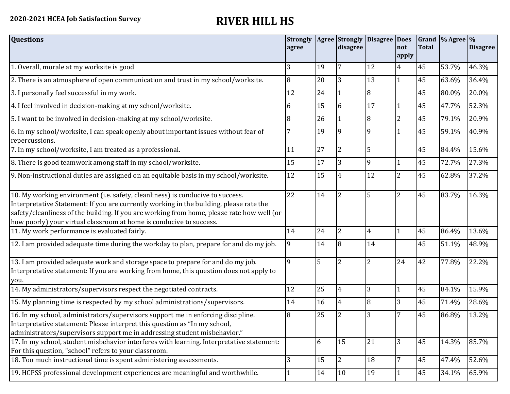| <b>Questions</b>                                                                                                                                                                                                                                                                                                                               | <b>Strongly</b><br>agree |    | <b>Agree Strongly</b><br>disagree | Disagree Does  | not<br>apply    | <b>Total</b> | Grand % Agree % | <b>Disagree</b> |
|------------------------------------------------------------------------------------------------------------------------------------------------------------------------------------------------------------------------------------------------------------------------------------------------------------------------------------------------|--------------------------|----|-----------------------------------|----------------|-----------------|--------------|-----------------|-----------------|
| 1. Overall, morale at my worksite is good                                                                                                                                                                                                                                                                                                      | 3                        | 19 | 7                                 | 12             | $\overline{4}$  | 45           | 53.7%           | 46.3%           |
| 2. There is an atmosphere of open communication and trust in my school/worksite.                                                                                                                                                                                                                                                               | 8                        | 20 | 3                                 | 13             | $\mathbf{1}$    | 45           | 63.6%           | 36.4%           |
| 3. I personally feel successful in my work.                                                                                                                                                                                                                                                                                                    | 12                       | 24 |                                   | 8              |                 | 45           | 80.0%           | 20.0%           |
| 4. I feel involved in decision-making at my school/worksite.                                                                                                                                                                                                                                                                                   | 6                        | 15 | 6                                 | 17             | $\mathbf{1}$    | 45           | 47.7%           | 52.3%           |
| 5. I want to be involved in decision-making at my school/worksite.                                                                                                                                                                                                                                                                             | 8                        | 26 |                                   | $\overline{8}$ | 2               | 45           | 79.1%           | 20.9%           |
| 6. In my school/worksite, I can speak openly about important issues without fear of<br>repercussions.                                                                                                                                                                                                                                          |                          | 19 |                                   | $\mathbf{q}$   |                 | 45           | 59.1%           | 40.9%           |
| 7. In my school/worksite, I am treated as a professional.                                                                                                                                                                                                                                                                                      | 11                       | 27 | $\overline{2}$                    | 5              |                 | 45           | 84.4%           | 15.6%           |
| 8. There is good teamwork among staff in my school/worksite.                                                                                                                                                                                                                                                                                   | 15                       | 17 | 3                                 | 9              |                 | 45           | 72.7%           | 27.3%           |
| 9. Non-instructional duties are assigned on an equitable basis in my school/worksite.                                                                                                                                                                                                                                                          | 12                       | 15 | 4                                 | 12             | $\overline{2}$  | 45           | 62.8%           | 37.2%           |
| 10. My working environment (i.e. safety, cleanliness) is conducive to success.<br>Interpretative Statement: If you are currently working in the building, please rate the<br>safety/cleanliness of the building. If you are working from home, please rate how well (or<br>how poorly) your virtual classroom at home is conducive to success. | 22                       | 14 | $\overline{2}$                    | 5              | $\overline{2}$  | 45           | 83.7%           | 16.3%           |
| 11. My work performance is evaluated fairly.                                                                                                                                                                                                                                                                                                   | 14                       | 24 | $\overline{2}$                    | $\overline{4}$ |                 | 45           | 86.4%           | 13.6%           |
| 12. I am provided adequate time during the workday to plan, prepare for and do my job.                                                                                                                                                                                                                                                         | 9                        | 14 | 8                                 | 14             |                 | 45           | 51.1%           | 48.9%           |
| 13. I am provided adequate work and storage space to prepare for and do my job.<br>Interpretative statement: If you are working from home, this question does not apply to<br>you.                                                                                                                                                             | 9                        | 5  |                                   | $\overline{2}$ | 24              | 42           | 77.8%           | 22.2%           |
| 14. My administrators/supervisors respect the negotiated contracts.                                                                                                                                                                                                                                                                            | 12                       | 25 | 4                                 | 3              | $\mathbf{1}$    | 45           | 84.1%           | 15.9%           |
| 15. My planning time is respected by my school administrations/supervisors.                                                                                                                                                                                                                                                                    | 14                       | 16 | 4                                 | $\overline{8}$ | 3               | 45           | 71.4%           | 28.6%           |
| 16. In my school, administrators/supervisors support me in enforcing discipline.<br>Interpretative statement: Please interpret this question as "In my school,<br>administrators/supervisors support me in addressing student misbehavior."                                                                                                    | 8                        | 25 |                                   | 3              | 7               | 45           | 86.8%           | 13.2%           |
| 17. In my school, student misbehavior interferes with learning. Interpretative statement:<br>For this question, "school" refers to your classroom.                                                                                                                                                                                             |                          | 6  | 15                                | 21             | 3               | 45           | 14.3%           | 85.7%           |
| 18. Too much instructional time is spent administering assessments.                                                                                                                                                                                                                                                                            | 3                        | 15 | $\overline{2}$                    | 18             | $7\overline{ }$ | 45           | 47.4%           | 52.6%           |
| 19. HCPSS professional development experiences are meaningful and worthwhile.                                                                                                                                                                                                                                                                  |                          | 14 | 10                                | 19             | $\overline{1}$  | 45           | 34.1%           | 65.9%           |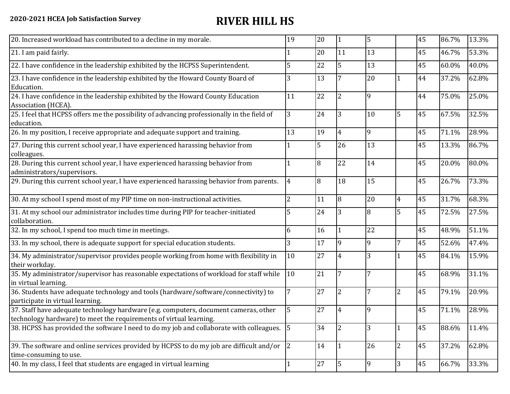| 20. Increased workload has contributed to a decline in my morale.                                                                                          | 19             | 20 | $\vert$ 1      | 5              |                | 45 | 86.7% | 13.3% |
|------------------------------------------------------------------------------------------------------------------------------------------------------------|----------------|----|----------------|----------------|----------------|----|-------|-------|
| 21. I am paid fairly.                                                                                                                                      |                | 20 | 11             | 13             |                | 45 | 46.7% | 53.3% |
| 22. I have confidence in the leadership exhibited by the HCPSS Superintendent.                                                                             | 5              | 22 | 5              | 13             |                | 45 | 60.0% | 40.0% |
| 23. I have confidence in the leadership exhibited by the Howard County Board of<br>Education.                                                              | 3              | 13 |                | 20             |                | 44 | 37.2% | 62.8% |
| 24. I have confidence in the leadership exhibited by the Howard County Education<br>Association (HCEA).                                                    | 11             | 22 | $\overline{2}$ | 9              |                | 44 | 75.0% | 25.0% |
| 25. I feel that HCPSS offers me the possibility of advancing professionally in the field of<br>education.                                                  | 3              | 24 | 3              | 10             | 5              | 45 | 67.5% | 32.5% |
| 26. In my position, I receive appropriate and adequate support and training.                                                                               | 13             | 19 | $\overline{4}$ | 9              |                | 45 | 71.1% | 28.9% |
| 27. During this current school year, I have experienced harassing behavior from<br>colleagues.                                                             |                | 5  | 26             | 13             |                | 45 | 13.3% | 86.7% |
| 28. During this current school year, I have experienced harassing behavior from<br>administrators/supervisors.                                             |                | 8  | 22             | 14             |                | 45 | 20.0% | 80.0% |
| 29. During this current school year, I have experienced harassing behavior from parents.                                                                   | $\overline{4}$ | 8  | 18             | 15             |                | 45 | 26.7% | 73.3% |
| 30. At my school I spend most of my PIP time on non-instructional activities.                                                                              | 2              | 11 | 8              | 20             | $\overline{4}$ | 45 | 31.7% | 68.3% |
| 31. At my school our administrator includes time during PIP for teacher-initiated<br>collaboration.                                                        | 5              | 24 | 3              | 8              | 5              | 45 | 72.5% | 27.5% |
| 32. In my school, I spend too much time in meetings.                                                                                                       | 6              | 16 |                | 22             |                | 45 | 48.9% | 51.1% |
| 33. In my school, there is adequate support for special education students.                                                                                | 3              | 17 | 9              | 9              | $\overline{7}$ | 45 | 52.6% | 47.4% |
| 34. My administrator/supervisor provides people working from home with flexibility in<br>their workday.                                                    | 10             | 27 | $\overline{4}$ | 3              |                | 45 | 84.1% | 15.9% |
| 35. My administrator/supervisor has reasonable expectations of workload for staff while<br>in virtual learning.                                            | 10             | 21 | 7              | $\overline{7}$ |                | 45 | 68.9% | 31.1% |
| 36. Students have adequate technology and tools (hardware/software/connectivity) to<br>participate in virtual learning.                                    | 7              | 27 | 2              | 7              | $\overline{2}$ | 45 | 79.1% | 20.9% |
| 37. Staff have adequate technology hardware (e.g. computers, document cameras, other<br>technology hardware) to meet the requirements of virtual learning. | 5              | 27 | 4              | 19             |                | 45 | 71.1% | 28.9% |
| 38. HCPSS has provided the software I need to do my job and collaborate with colleagues. 5                                                                 |                | 34 | $\overline{2}$ | 3              |                | 45 | 88.6% | 11.4% |
| 39. The software and online services provided by HCPSS to do my job are difficult and/or<br>time-consuming to use.                                         | 2              | 14 |                | 26             | $\overline{2}$ | 45 | 37.2% | 62.8% |
| 40. In my class, I feel that students are engaged in virtual learning                                                                                      |                | 27 | 5              | 9              | 3              | 45 | 66.7% | 33.3% |
|                                                                                                                                                            |                |    |                |                |                |    |       |       |